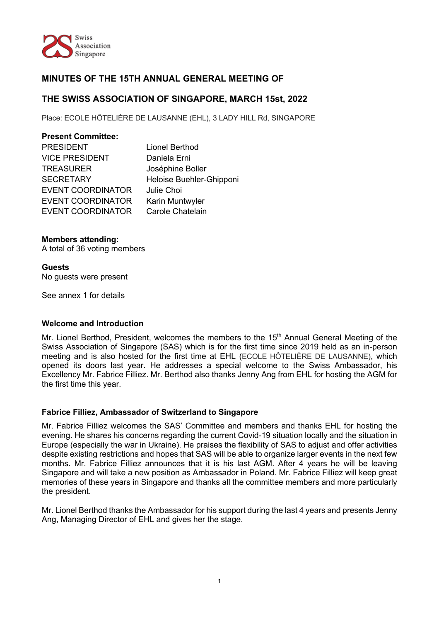

# **MINUTES OF THE 15TH ANNUAL GENERAL MEETING OF**

# **THE SWISS ASSOCIATION OF SINGAPORE, MARCH 15st, 2022**

Place: ECOLE HÔTELIÈRE DE LAUSANNE (EHL), 3 LADY HILL Rd, SINGAPORE

| <b>Present Committee:</b> |                          |
|---------------------------|--------------------------|
| <b>PRESIDENT</b>          | Lionel Berthod           |
| <b>VICE PRESIDENT</b>     | Daniela Erni             |
| <b>TREASURER</b>          | Joséphine Boller         |
| <b>SECRETARY</b>          | Heloise Buehler-Ghipponi |
| <b>EVENT COORDINATOR</b>  | Julie Choi               |
| <b>EVENT COORDINATOR</b>  | Karin Muntwyler          |
| <b>EVENT COORDINATOR</b>  | Carole Chatelain         |
|                           |                          |

## **Members attending:**

A total of 36 voting members

## **Guests**

No guests were present

See annex 1 for details

#### **Welcome and Introduction**

Mr. Lionel Berthod, President, welcomes the members to the 15<sup>th</sup> Annual General Meeting of the Swiss Association of Singapore (SAS) which is for the first time since 2019 held as an in-person meeting and is also hosted for the first time at EHL (ECOLE HÔTELIÈRE DE LAUSANNE), which opened its doors last year. He addresses a special welcome to the Swiss Ambassador, his Excellency Mr. Fabrice Filliez. Mr. Berthod also thanks Jenny Ang from EHL for hosting the AGM for the first time this year.

#### **Fabrice Filliez, Ambassador of Switzerland to Singapore**

Mr. Fabrice Filliez welcomes the SAS' Committee and members and thanks EHL for hosting the evening. He shares his concerns regarding the current Covid-19 situation locally and the situation in Europe (especially the war in Ukraine). He praises the flexibility of SAS to adjust and offer activities despite existing restrictions and hopes that SAS will be able to organize larger events in the next few months. Mr. Fabrice Filliez announces that it is his last AGM. After 4 years he will be leaving Singapore and will take a new position as Ambassador in Poland. Mr. Fabrice Filliez will keep great memories of these years in Singapore and thanks all the committee members and more particularly the president.

Mr. Lionel Berthod thanks the Ambassador for his support during the last 4 years and presents Jenny Ang, Managing Director of EHL and gives her the stage.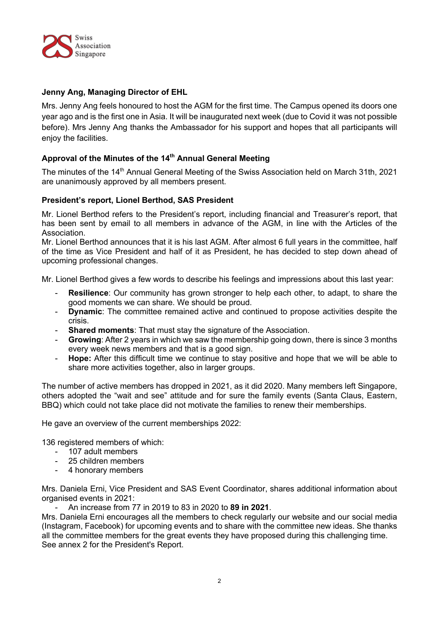

## **Jenny Ang, Managing Director of EHL**

Mrs. Jenny Ang feels honoured to host the AGM for the first time. The Campus opened its doors one year ago and is the first one in Asia. It will be inaugurated next week (due to Covid it was not possible before). Mrs Jenny Ang thanks the Ambassador for his support and hopes that all participants will enjoy the facilities.

## **Approval of the Minutes of the 14th Annual General Meeting**

The minutes of the 14<sup>th</sup> Annual General Meeting of the Swiss Association held on March 31th, 2021 are unanimously approved by all members present.

#### **President's report, Lionel Berthod, SAS President**

Mr. Lionel Berthod refers to the President's report, including financial and Treasurer's report, that has been sent by email to all members in advance of the AGM, in line with the Articles of the Association.

Mr. Lionel Berthod announces that it is his last AGM. After almost 6 full years in the committee, half of the time as Vice President and half of it as President, he has decided to step down ahead of upcoming professional changes.

Mr. Lionel Berthod gives a few words to describe his feelings and impressions about this last year:

- **Resilience**: Our community has grown stronger to help each other, to adapt, to share the good moments we can share. We should be proud.
- **Dynamic**: The committee remained active and continued to propose activities despite the crisis.
- **Shared moments:** That must stay the signature of the Association.
- **Growing:** After 2 years in which we saw the membership going down, there is since 3 months every week news members and that is a good sign.
- **Hope:** After this difficult time we continue to stay positive and hope that we will be able to share more activities together, also in larger groups.

The number of active members has dropped in 2021, as it did 2020. Many members left Singapore, others adopted the "wait and see" attitude and for sure the family events (Santa Claus, Eastern, BBQ) which could not take place did not motivate the families to renew their memberships.

He gave an overview of the current memberships 2022:

136 registered members of which:

- 107 adult members
- 25 children members
- 4 honorary members

Mrs. Daniela Erni, Vice President and SAS Event Coordinator, shares additional information about organised events in 2021:

- An increase from 77 in 2019 to 83 in 2020 to **89 in 2021**.

Mrs. Daniela Erni encourages all the members to check regularly our website and our social media (Instagram, Facebook) for upcoming events and to share with the committee new ideas. She thanks all the committee members for the great events they have proposed during this challenging time. See annex 2 for the President's Report.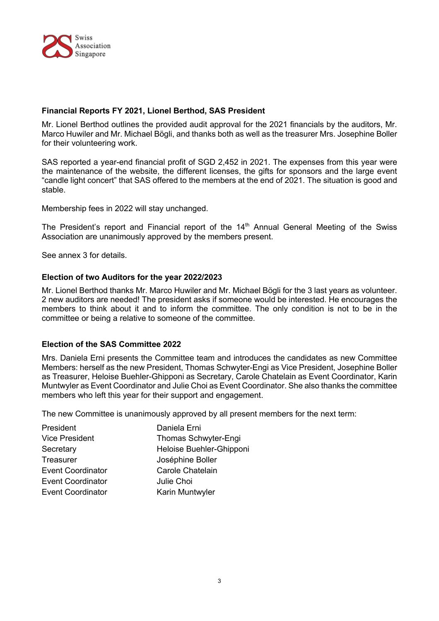

#### **Financial Reports FY 2021, Lionel Berthod, SAS President**

Mr. Lionel Berthod outlines the provided audit approval for the 2021 financials by the auditors, Mr. Marco Huwiler and Mr. Michael Bögli, and thanks both as well as the treasurer Mrs. Josephine Boller for their volunteering work.

SAS reported a year-end financial profit of SGD 2,452 in 2021. The expenses from this year were the maintenance of the website, the different licenses, the gifts for sponsors and the large event "candle light concert" that SAS offered to the members at the end of 2021. The situation is good and stable.

Membership fees in 2022 will stay unchanged.

The President's report and Financial report of the 14<sup>th</sup> Annual General Meeting of the Swiss Association are unanimously approved by the members present.

See annex 3 for details.

#### **Election of two Auditors for the year 2022/2023**

Mr. Lionel Berthod thanks Mr. Marco Huwiler and Mr. Michael Bögli for the 3 last years as volunteer. 2 new auditors are needed! The president asks if someone would be interested. He encourages the members to think about it and to inform the committee. The only condition is not to be in the committee or being a relative to someone of the committee.

#### **Election of the SAS Committee 2022**

Mrs. Daniela Erni presents the Committee team and introduces the candidates as new Committee Members: herself as the new President, Thomas Schwyter-Engi as Vice President, Josephine Boller as Treasurer, Heloise Buehler-Ghipponi as Secretary, Carole Chatelain as Event Coordinator, Karin Muntwyler as Event Coordinator and Julie Choi as Event Coordinator. She also thanks the committee members who left this year for their support and engagement.

The new Committee is unanimously approved by all present members for the next term:

| President                | Daniela Erni             |
|--------------------------|--------------------------|
| <b>Vice President</b>    | Thomas Schwyter-Engi     |
| Secretary                | Heloise Buehler-Ghipponi |
| Treasurer                | Joséphine Boller         |
| <b>Event Coordinator</b> | Carole Chatelain         |
| <b>Event Coordinator</b> | Julie Choi               |
| <b>Event Coordinator</b> | Karin Muntwyler          |
|                          |                          |